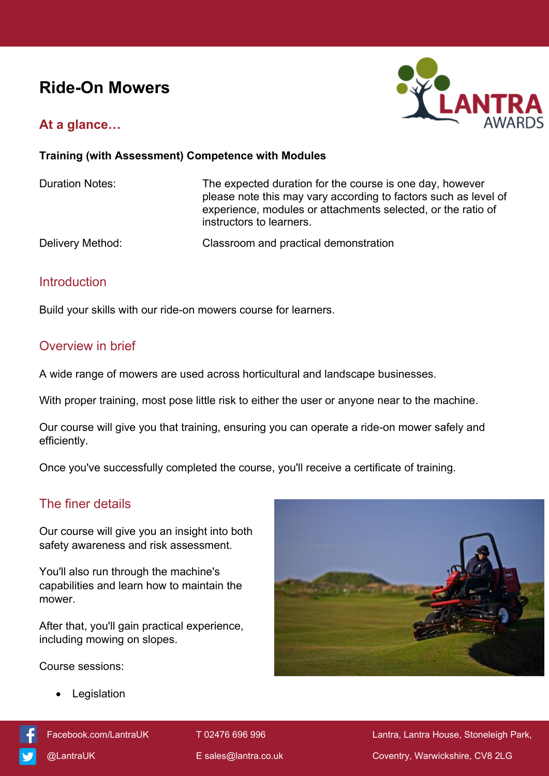# **Ride-On Mowers**

## **At a glance…**



#### **Training (with Assessment) Competence with Modules**

Duration Notes: The expected duration for the course is one day, however please note this may vary according to factors such as level of experience, modules or attachments selected, or the ratio of instructors to learners.

Delivery Method: Classroom and practical demonstration

#### **Introduction**

Build your skills with our ride-on mowers course for learners.

### Overview in brief

A wide range of mowers are used across horticultural and landscape businesses.

With proper training, most pose little risk to either the user or anyone near to the machine.

Our course will give you that training, ensuring you can operate a ride-on mower safely and efficiently.

Once you've successfully completed the course, you'll receive a certificate of training.

## The finer details

Our course will give you an insight into both safety awareness and risk assessment.

You'll also run through the machine's capabilities and learn how to maintain the mower.

After that, you'll gain practical experience, including mowing on slopes.

Course sessions:

Legislation



[Facebook.com/LantraUK](https://www.facebook.com/LantraUK/) T 02476 696 996 Lantra, Lantra, Lantra House, Stoneleigh Park, [@LantraUK](http://www.twitter.com/lantrauk) E [sales@lantra.co.uk](mailto:sales@lantra.co.uk) Coventry, Warwickshire, CV8 2LG